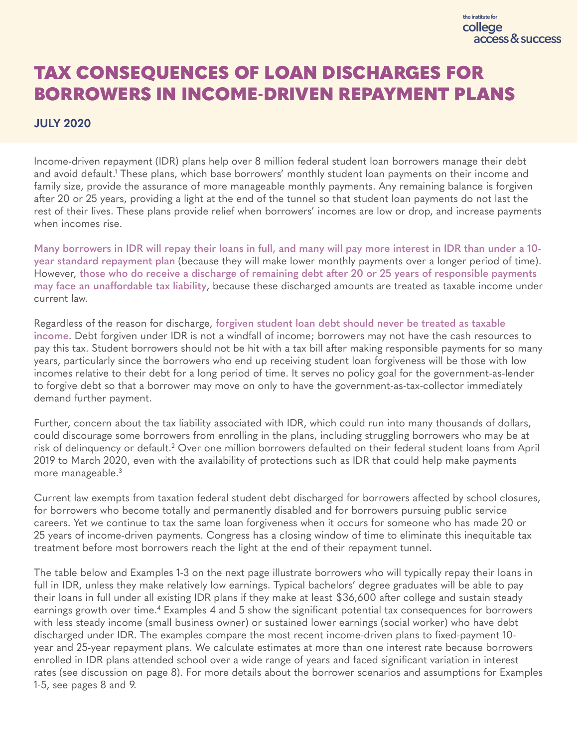# <span id="page-0-0"></span>TAX CONSEQUENCES OF LOAN DISCHARGES FOR BORROWERS IN INCOME-DRIVEN REPAYMENT PLANS

## **JULY 2020**

Income-driven repayment (IDR) plans help over 8 million federal student loan borrowers manage their debt and avoid default.<sup>1</sup> These plans, which base borrowers' monthly student loan payments on their income and family size, provide the assurance of more manageable monthly payments. Any remaining balance is forgiven after 20 or 25 years, providing a light at the end of the tunnel so that student loan payments do not last the rest of their lives. These plans provide relief when borrowers' incomes are low or drop, and increase payments when incomes rise.

**Many borrowers in IDR will repay their loans in full, and many will pay more interest in IDR than under a 10 year standard repayment plan** (because they will make lower monthly payments over a longer period of time). However, **those who do receive a discharge of remaining debt after 20 or 25 years of responsible payments may face an unaffordable tax liability**, because these discharged amounts are treated as taxable income under current law.

Regardless of the reason for discharge, **forgiven student loan debt should never be treated as taxable income**. Debt forgiven under IDR is not a windfall of income; borrowers may not have the cash resources to pay this tax. Student borrowers should not be hit with a tax bill after making responsible payments for so many years, particularly since the borrowers who end up receiving student loan forgiveness will be those with low incomes relative to their debt for a long period of time. It serves no policy goal for the government-as-lender to forgive debt so that a borrower may move on only to have the government-as-tax-collector immediately demand further payment.

Further, concern about the tax liability associated with IDR, which could run into many thousands of dollars, could discourage some borrowers from enrolling in the plans, including struggling borrowers who may be at risk of delinquency or default.<sup>[2](#page-10-0)</sup> Over one million borrowers defaulted on their federal student loans from April 2019 to March 2020, even with the availability of protections such as IDR that could help make payments more manageable.<sup>[3](#page-10-0)</sup>

Current law exempts from taxation federal student debt discharged for borrowers affected by school closures, for borrowers who become totally and permanently disabled and for borrowers pursuing public service careers. Yet we continue to tax the same loan forgiveness when it occurs for someone who has made 20 or 25 years of income-driven payments. Congress has a closing window of time to eliminate this inequitable tax treatment before most borrowers reach the light at the end of their repayment tunnel.

The table below and Examples 1-3 on the next page illustrate borrowers who will typically repay their loans in full in IDR, unless they make relatively low earnings. Typical bachelors' degree graduates will be able to pay their loans in full under all existing IDR plans if they make at least \$36,600 after college and sustain steady earnings growth over time.<sup>[4](#page-10-0)</sup> Examples 4 and 5 show the significant potential tax consequences for borrowers with less steady income (small business owner) or sustained lower earnings (social worker) who have debt discharged under IDR. The examples compare the most recent income-driven plans to fixed-payment 10 year and 25-year repayment plans. We calculate estimates at more than one interest rate because borrowers enrolled in IDR plans attended school over a wide range of years and faced significant variation in interest rates (see discussion on page 8). For more details about the borrower scenarios and assumptions for Examples 1-5, see pages 8 and 9.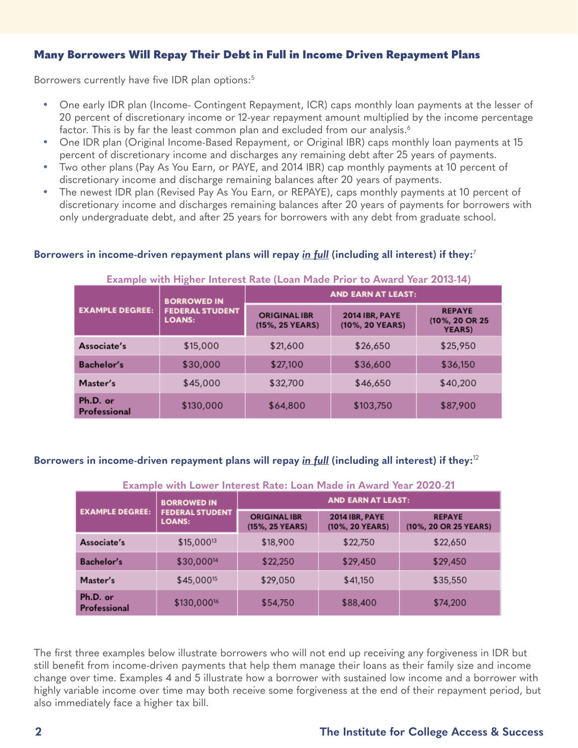## <span id="page-1-0"></span>Many Borrowers Will Repay Their Debt in Full in Income Driven Repayment Plans

Borrowers currently have five IDR plan options:<sup>[5](#page-10-0)</sup>

- One early IDR plan (Income- Contingent Repayment, ICR) caps monthly loan payments at the lesser of 20 percent of discretionary income or 12-year repayment amount multiplied by the income percentage factor. This is by far the least common plan and excluded from our analysis. $6$
- One IDR plan (Original Income-Based Repayment, or Original IBR) caps monthly loan payments at 15 percent of discretionary income and discharges any remaining debt after 25 years of payments.
- Two other plans (Pay As You Earn, or PAYE, and 2014 IBR) cap monthly payments at 10 percent of discretionary income and discharge remaining balances after 20 years of payments.
- The newest IDR plan (Revised Pay As You Earn, or REPAYE), caps monthly payments at 10 percent of discretionary income and discharges remaining balances after 20 years of payments for borrowers with only undergraduate debt, and after 25 years for borrowers with any debt from graduate school.

#### **Borrowers in income-driven repayment plans will repay** *in full* **(including all interest) if they:**[7](#page-10-0)

#### **Example with Higher Interest Rate (Loan Made Prior to Award Year 2013-14)**

| <b>EXAMPLE DEGREE:</b>   | <b>BORROWED IN</b>                      | <b>AND EARN AT LEAST:</b>              |                                          |                                                   |  |  |
|--------------------------|-----------------------------------------|----------------------------------------|------------------------------------------|---------------------------------------------------|--|--|
|                          | <b>FEDERAL STUDENT</b><br><b>LOANS:</b> | <b>ORIGINAL IBR</b><br>(15%, 25 YEARS) | <b>2014 IBR, PAYE</b><br>(10%, 20 YEARS) | <b>REPAYE</b><br>(10%, 20 OR 25<br><b>YEARS</b> ) |  |  |
| Associate's              | \$15,000                                | \$21,600                               | \$26,650                                 | \$25,950                                          |  |  |
| Bachelor's               | \$30,000                                | \$27,100                               | \$36,600                                 | \$36,150                                          |  |  |
| Master's                 | \$45,000                                | \$32,700                               | \$46,650                                 | \$40,200                                          |  |  |
| Ph.D. or<br>Professional | \$130,000                               | \$64,800                               | \$103,750                                | \$87,900                                          |  |  |

#### **Borrowers in income-driven repayment plans will repay** *in full* **(including all interest) if they:**1[28](#page-10-0)

#### **Example with Lower Interest Rate: Loan Made in Award Year 2020-21**

| <b>EXAMPLE DEGREE:</b>   | <b>BORROWED IN</b>                      | <b>AND EARN AT LEAST:</b>              |                                          |                                        |  |  |
|--------------------------|-----------------------------------------|----------------------------------------|------------------------------------------|----------------------------------------|--|--|
|                          | <b>FEDERAL STUDENT</b><br><b>LOANS:</b> | <b>ORIGINAL IBR</b><br>(15%, 25 YEARS) | <b>2014 IBR, PAYE</b><br>(10%, 20 YEARS) | <b>REPAYE</b><br>(10%, 20 OR 25 YEARS) |  |  |
| Associate's              | \$15,00013                              | \$18,900                               | \$22,750                                 | \$22,650                               |  |  |
| Bachelor's               | \$30,00014                              | \$22,250                               | \$29,450                                 | \$29,450                               |  |  |
| Master's                 | \$45,000 <sup>15</sup>                  | \$29,050                               | \$41,150                                 | \$35,550                               |  |  |
| Ph.D. or<br>Professional | \$130,000 <sup>16</sup>                 | \$54,750                               | \$88,400                                 | \$74,200                               |  |  |

The first three examples below illustrate borrowers who will not end up receiving any forgiveness in IDR but still benefit from income-driven payments that help them manage their loans as their family size and income change over time. Examples 4 and 5 illustrate how a borrower with sustained low income and a borrower with highly variable income over time may both receive some forgiveness at the end of their repayment period, but also immediately face a higher tax bill.

#### **2 The Institute for College Access & Success**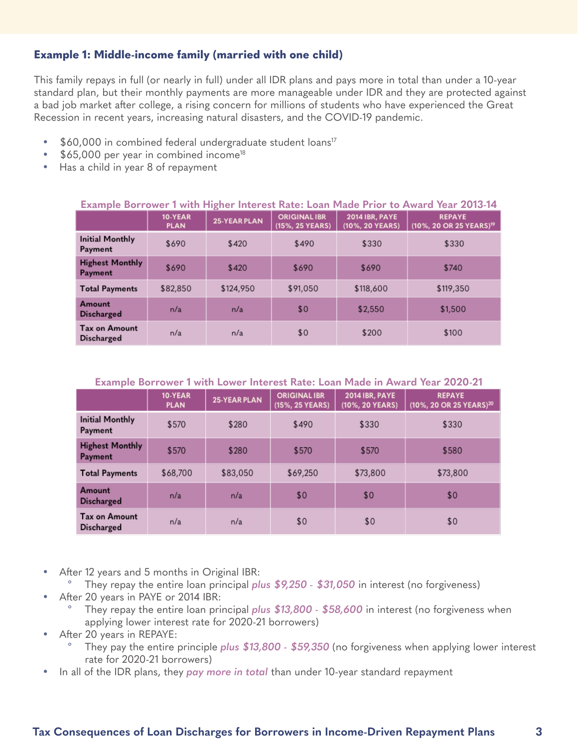## <span id="page-2-0"></span>**Example 1: Middle-income family (married with one child)**

This family repays in full (or nearly in full) under all IDR plans and pays more in total than under a 10-year standard plan, but their monthly payments are more manageable under IDR and they are protected against a bad job market after college, a rising concern for millions of students who have experienced the Great Recession in recent years, increasing natural disasters, and the COVID-19 pandemic.

- \$60,000 in combined federal undergraduate student loans<sup>17</sup>
- $$65,000$  per year in combined income<sup>18</sup>
- Has a child in year 8 of repayment

| Example Borrower 1 with Higher Interest Rate: Loan Made Prior to Award Year 2013-14 |                        |                     |                                        |                                          |                                                      |  |  |
|-------------------------------------------------------------------------------------|------------------------|---------------------|----------------------------------------|------------------------------------------|------------------------------------------------------|--|--|
|                                                                                     | 10-YEAR<br><b>PLAN</b> | <b>25-YEAR PLAN</b> | <b>ORIGINAL IBR</b><br>(15%, 25 YEARS) | <b>2014 IBR, PAYE</b><br>(10%, 20 YEARS) | <b>REPAYE</b><br>(10%, 20 OR 25 YEARS) <sup>19</sup> |  |  |
| <b>Initial Monthly</b><br>Payment                                                   | \$690                  | \$420               | \$490                                  | \$330                                    | \$330                                                |  |  |
| <b>Highest Monthly</b><br>Payment                                                   | \$690                  | \$420               | \$690                                  | \$690                                    | \$740                                                |  |  |
| <b>Total Payments</b>                                                               | \$82,850               | \$124,950           | \$91,050                               | \$118,600                                | \$119,350                                            |  |  |
| Amount<br><b>Discharged</b>                                                         | n/a                    | n/a                 | \$0                                    | \$2,550                                  | \$1,500                                              |  |  |
| <b>Tax on Amount</b><br><b>Discharged</b>                                           | n/a                    | n/a                 | \$0                                    | \$200                                    | \$100                                                |  |  |

**Example Borrower 1 with Lower Interest Rate: Loan Made in Award Year 2020-21**

|                                           | 10-YEAR<br><b>PLAN</b> | <b>25-YEAR PLAN</b> | <b>ORIGINAL IBR</b><br>(15%, 25 YEARS) | <b>2014 IBR, PAYE</b><br>(10%, 20 YEARS) | <b>REPAYE</b><br>(10%, 20 OR 25 YEARS) <sup>20</sup> |
|-------------------------------------------|------------------------|---------------------|----------------------------------------|------------------------------------------|------------------------------------------------------|
| <b>Initial Monthly</b><br>Payment         | \$570                  | \$280               | \$490                                  | \$330                                    | \$330                                                |
| <b>Highest Monthly</b><br>Payment         | \$570                  | \$280               | \$570                                  | \$570                                    | \$580                                                |
| <b>Total Payments</b>                     | \$68,700               | \$83,050            | \$69,250                               | \$73,800                                 | \$73,800                                             |
| Amount<br><b>Discharged</b>               | n/a                    | n/a                 | \$0                                    | \$0                                      | \$0                                                  |
| <b>Tax on Amount</b><br><b>Discharged</b> | n/a                    | n/a                 | \$0                                    | \$0                                      | \$0                                                  |

- After 12 years and 5 months in Original IBR:
	- º They repay the entire loan principal *plus \$9,250 \$31,050* in interest (no forgiveness)
- After 20 years in PAYE or 2014 IBR:
	- They repay the entire loan principal *plus* \$13,800 \$58,600 in interest (no forgiveness when applying lower interest rate for 2020-21 borrowers)
- After 20 years in REPAYE:
	- They pay the entire principle *plus* \$13,800 \$59,350 (no forgiveness when applying lower interest rate for 2020-21 borrowers)
- In all of the IDR plans, they *pay more in total* than under 10-year standard repayment

## **Tax Consequences of Loan Discharges for Borrowers in Income-Driven Repayment Plans 3**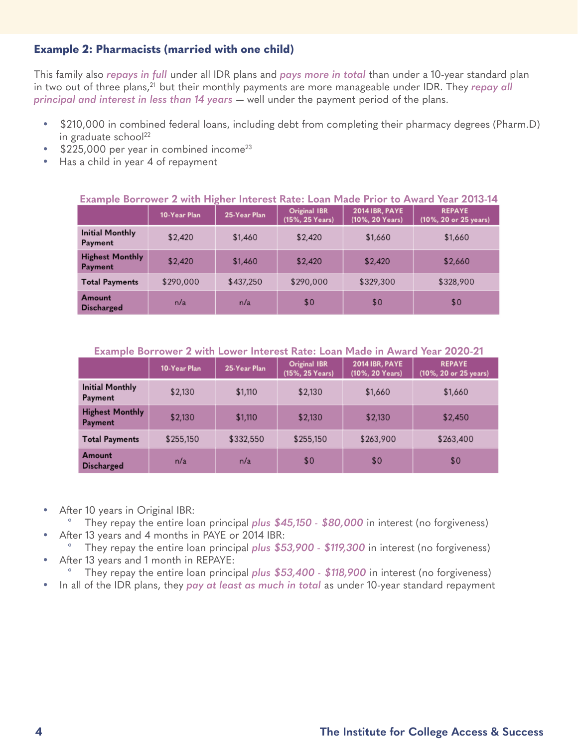## <span id="page-3-0"></span>**Example 2: Pharmacists (married with one child)**

This family also *repays in full* under all IDR plans and *pays more in total* than under a 10-year standard plan in two out of three plans,<sup>21</sup> but their monthly payments are more manageable under IDR. They *repay all principal and interest in less than 14 years* — well under the payment period of the plans.

- \$210,000 in combined federal loans, including debt from completing their pharmacy degrees (Pharm.D) in graduate school $^{22}$
- $$225,000$  per year in combined income<sup>23</sup>
- Has a child in year 4 of repayment

| <b>Example Borrower 2 with Higher Interest Rate: Loan Made Prior to Award Year 2013-14</b> |              |              |                                 |                                          |                                        |  |
|--------------------------------------------------------------------------------------------|--------------|--------------|---------------------------------|------------------------------------------|----------------------------------------|--|
|                                                                                            | 10-Year Plan | 25-Year Plan | Original IBR<br>(15%, 25 Years) | <b>2014 IBR, PAYE</b><br>(10%, 20 Years) | <b>REPAYE</b><br>(10%, 20 or 25 years) |  |
| <b>Initial Monthly</b><br>Payment                                                          | \$2,420      | \$1,460      | \$2,420                         | \$1,660                                  | \$1,660                                |  |
| <b>Highest Monthly</b><br><b>Payment</b>                                                   | \$2,420      | \$1,460      | \$2,420                         | \$2,420                                  | \$2,660                                |  |
| <b>Total Payments</b>                                                                      | \$290,000    | \$437,250    | \$290,000                       | \$329,300                                | \$328,900                              |  |
| Amount<br><b>Discharged</b>                                                                | n/a          | n/a          | \$0                             | \$0                                      | \$0                                    |  |

#### **Example Borrower 2 with Higher Interest Rate: Loan Made Prior to Award Year 2013-14**

**Example Borrower 2 with Lower Interest Rate: Loan Made in Award Year 2020-21**

|                                   | 10-Year Plan | 25-Year Plan | Original IBR<br>(15%, 25 Years) | <b>2014 IBR, PAYE</b><br>(10%, 20 Years) | <b>REPAYE</b><br>(10%, 20 or 25 years) |
|-----------------------------------|--------------|--------------|---------------------------------|------------------------------------------|----------------------------------------|
| <b>Initial Monthly</b><br>Payment | \$2,130      | \$1,110      | \$2,130                         | \$1,660                                  | \$1,660                                |
| <b>Highest Monthly</b><br>Payment | \$2,130      | \$1,110      | \$2,130                         | \$2,130                                  | \$2,450                                |
| <b>Total Payments</b>             | \$255,150    | \$332,550    | \$255,150                       | \$263,900                                | \$263,400                              |
| Amount<br><b>Discharged</b>       | n/a          | n/a          | \$0                             | \$0                                      | \$0                                    |

- After 10 years in Original IBR:
	- º They repay the entire loan principal *plus \$45,150 \$80,000* in interest (no forgiveness)
- After 13 years and 4 months in PAYE or 2014 IBR:
- º They repay the entire loan principal *plus \$53,900 \$119,300* in interest (no forgiveness) • After 13 years and 1 month in REPAYE:
- º They repay the entire loan principal *plus \$53,400 \$118,900* in interest (no forgiveness)
- In all of the IDR plans, they *pay at least as much in total* as under 10-year standard repayment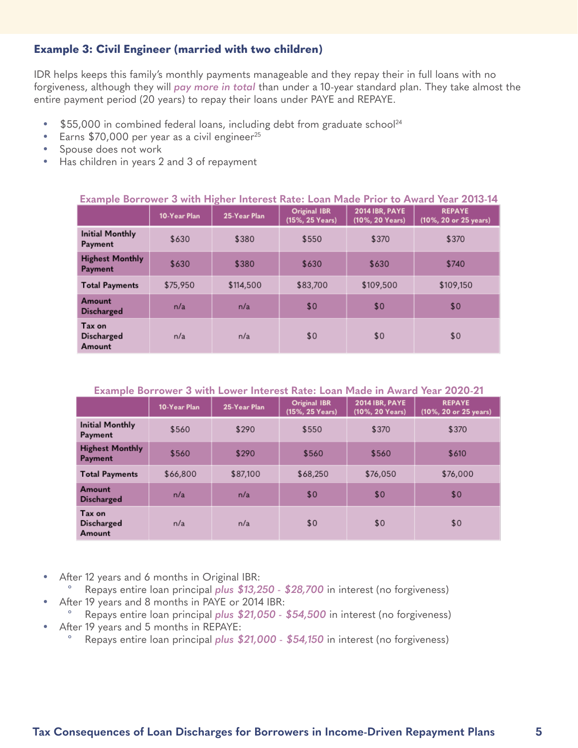## <span id="page-4-0"></span>**Example 3: Civil Engineer (married with two children)**

IDR helps keeps this family's monthly payments manageable and they repay their in full loans with no forgiveness, although they will *pay more in total* than under a 10-year standard plan. They take almost the entire payment period (20 years) to repay their loans under PAYE and REPAYE.

- \$55,000 in combined federal loans, including debt from graduate school<sup>24</sup>
- Earns  $$70,000$  per year as a civil engineer<sup>25</sup>
- Spouse does not work
- Has children in years 2 and 3 of repayment

| Example Borrower 3 with Higher Interest Rate: Loan Made Prior to Award Year 2013-14 |              |              |                                        |                                          |                                        |  |
|-------------------------------------------------------------------------------------|--------------|--------------|----------------------------------------|------------------------------------------|----------------------------------------|--|
|                                                                                     | 10-Year Plan | 25-Year Plan | <b>Original IBR</b><br>(15%, 25 Years) | <b>2014 IBR, PAYE</b><br>(10%, 20 Years) | <b>REPAYE</b><br>(10%, 20 or 25 years) |  |
| <b>Initial Monthly</b><br>Payment                                                   | \$630        | \$380        | \$550                                  | \$370                                    | \$370                                  |  |
| <b>Highest Monthly</b><br>Payment                                                   | \$630        | \$380        | \$630                                  | \$630                                    | \$740                                  |  |
| <b>Total Payments</b>                                                               | \$75,950     | \$114,500    | \$83,700                               | \$109,500                                | \$109,150                              |  |
| Amount<br><b>Discharged</b>                                                         | n/a          | n/a          | \$0                                    | \$0                                      | \$0                                    |  |
| Tax on<br><b>Discharged</b><br>Amount                                               | n/a          | n/a          | \$0                                    | \$0                                      | \$0                                    |  |

#### **Example Borrower 3 with Lower Interest Rate: Loan Made in Award Year 2020-21**

|                                       | 10-Year Plan | 25-Year Plan | Original IBR<br>(15%, 25 Years) | <b>2014 IBR, PAYE</b><br>(10%, 20 Years) | <b>REPAYE</b><br>(10%, 20 or 25 years) |
|---------------------------------------|--------------|--------------|---------------------------------|------------------------------------------|----------------------------------------|
| <b>Initial Monthly</b><br>Payment     | \$560        | \$290        | \$550                           | \$370                                    | \$370                                  |
| <b>Highest Monthly</b><br>Payment     | \$560        | \$290        | \$560                           | \$560                                    | \$610                                  |
| <b>Total Payments</b>                 | \$66,800     | \$87,100     | \$68,250                        | \$76,050                                 | \$76,000                               |
| Amount<br><b>Discharged</b>           | n/a          | n/a          | \$0                             | \$0                                      | \$0                                    |
| Tax on<br><b>Discharged</b><br>Amount | n/a          | n/a          | \$0                             | \$0                                      | \$0                                    |

- After 12 years and 6 months in Original IBR:
	- º Repays entire loan principal *plus \$13,250 \$28,700* in interest (no forgiveness)
- After 19 years and 8 months in PAYE or 2014 IBR:
	- º Repays entire loan principal *plus \$21,050 \$54,500* in interest (no forgiveness)
- After 19 years and 5 months in REPAYE:
	- º Repays entire loan principal *plus \$21,000 \$54,150* in interest (no forgiveness)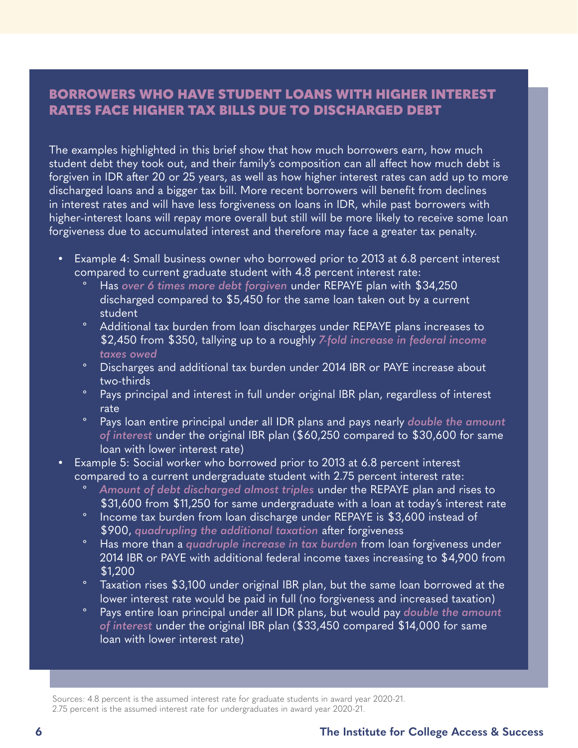## <span id="page-5-0"></span>BORROWERS WHO HAVE STUDENT LOANS WITH HIGHER INTEREST RATES FACE HIGHER TAX BILLS DUE TO DISCHARGED DEBT

The examples highlighted in this brief show that how much borrowers earn, how much student debt they took out, and their family's composition can all affect how much debt is forgiven in IDR after 20 or 25 years, as well as how higher interest rates can add up to more discharged loans and a bigger tax bill. More recent borrowers will benefit from declines in interest rates and will have less forgiveness on loans in IDR, while past borrowers with higher-interest loans will repay more overall but still will be more likely to receive some loan forgiveness due to accumulated interest and therefore may face a greater tax penalty.

- Example 4: Small business owner who borrowed prior to 2013 at 6.8 percent interest compared to current graduate student with 4.8 percent interest rate:
	- º Has *over 6 times more debt forgiven* under REPAYE plan with \$34,250 discharged compared to \$5,450 for the same loan taken out by a current student
	- º Additional tax burden from loan discharges under REPAYE plans increases to \$2,450 from \$350, tallying up to a roughly *7-fold increase in federal income taxes owed*
	- º Discharges and additional tax burden under 2014 IBR or PAYE increase about two-thirds
	- º Pays principal and interest in full under original IBR plan, regardless of interest rate
	- º Pays loan entire principal under all IDR plans and pays nearly *double the amount of interest* under the original IBR plan (\$60,250 compared to \$30,600 for same loan with lower interest rate)
- Example 5: Social worker who borrowed prior to 2013 at 6.8 percent interest compared to a current undergraduate student with 2.75 percent interest rate:
	- Amount of debt discharged almost triples under the REPAYE plan and rises to \$31,600 from \$11,250 for same undergraduate with a loan at today's interest rate
	- º Income tax burden from loan discharge under REPAYE is \$3,600 instead of \$900, *quadrupling the additional taxation* after forgiveness
	- º Has more than a *quadruple increase in tax burden* from loan forgiveness under 2014 IBR or PAYE with additional federal income taxes increasing to \$4,900 from \$1,200
	- <sup>o</sup> Taxation rises \$3,100 under original IBR plan, but the same loan borrowed at the lower interest rate would be paid in full (no forgiveness and increased taxation)
	- º Pays entire loan principal under all IDR plans, but would pay *double the amount of interest* under the original IBR plan (\$33,450 compared \$14,000 for same loan with lower interest rate)

Sources: 4.8 percent is the assumed interest rate for graduate students in award year 2020-21. 2.75 percent is the assumed interest rate for undergraduates in award year 2020-21.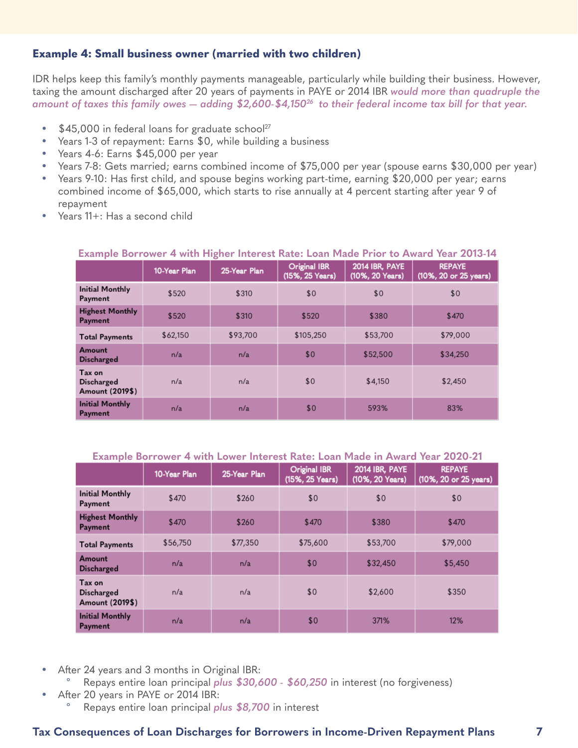## <span id="page-6-0"></span>**Example 4: Small business owner (married with two children)**

IDR helps keep this family's monthly payments manageable, particularly while building their business. However, taxing the amount discharged after 20 years of payments in PAYE or 2014 IBR *would more than quadruple the*  amount of taxes this family owes — adding \$2,600-\$4,150<sup>26</sup> to their federal income tax bill for that year.

- $\cdot$  \$45,000 in federal loans for graduate school<sup>27</sup>
- Years 1-3 of repayment: Earns \$0, while building a business
- Years 4-6: Earns \$45,000 per year
- Years 7-8: Gets married; earns combined income of \$75,000 per year (spouse earns \$30,000 per year)
- Years 9-10: Has first child, and spouse begins working part-time, earning \$20,000 per year; earns combined income of \$65,000, which starts to rise annually at 4 percent starting after year 9 of repayment
- Years 11+: Has a second child

|                                                | 10-Year Plan | 25-Year Plan | <b>Original IBR</b><br>(15%, 25 Years) | 2014 IBR, PAYE<br>(10%, 20 Years) | <b>REPAYE</b><br>(10%, 20 or 25 years) |
|------------------------------------------------|--------------|--------------|----------------------------------------|-----------------------------------|----------------------------------------|
| <b>Initial Monthly</b><br>Payment              | \$520        | \$310        | \$0                                    | \$0                               | \$0                                    |
| <b>Highest Monthly</b><br>Payment              | \$520        | \$310        | \$520                                  | \$380                             | \$470                                  |
| <b>Total Payments</b>                          | \$62,150     | \$93,700     | \$105,250                              | \$53,700                          | \$79,000                               |
| Amount<br><b>Discharged</b>                    | n/a          | n/a          | \$0                                    | \$52,500                          | \$34,250                               |
| Tax on<br><b>Discharged</b><br>Amount (2019\$) | n/a          | n/a          | \$0                                    | \$4,150                           | \$2,450                                |
| <b>Initial Monthly</b><br>Payment              | n/a          | n/a          | \$0                                    | 593%                              | 83%                                    |

#### **Example Borrower 4 with Higher Interest Rate: Loan Made Prior to Award Year 2013-14**

#### **Example Borrower 4 with Lower Interest Rate: Loan Made in Award Year 2020-21**

|                                                | 10-Year Plan | 25-Year Plan | <b>Original IBR</b><br>(15%, 25 Years) | 2014 IBR, PAYE<br>(10%, 20 Years) | <b>REPAYE</b><br>(10%, 20 or 25 years) |
|------------------------------------------------|--------------|--------------|----------------------------------------|-----------------------------------|----------------------------------------|
| <b>Initial Monthly</b><br>Payment              | \$470        | \$260        | \$0                                    | \$0                               | \$0                                    |
| <b>Highest Monthly</b><br>Payment              | \$470        | \$260        | \$470                                  | \$380                             | \$470                                  |
| <b>Total Payments</b>                          | \$56,750     | \$77,350     | \$75,600                               | \$53,700                          | \$79,000                               |
| Amount<br><b>Discharged</b>                    | n/a          | n/a          | \$0                                    | \$32,450                          | \$5,450                                |
| Tax on<br><b>Discharged</b><br>Amount (2019\$) | n/a          | n/a          | \$0                                    | \$2,600                           | \$350                                  |
| <b>Initial Monthly</b><br>Payment              | n/a          | n/a          | \$0                                    | 371%                              | 12%                                    |

- After 24 years and 3 months in Original IBR:
	- º Repays entire loan principal *plus \$30,600 \$60,250* in interest (no forgiveness)
- After 20 years in PAYE or 2014 IBR:
	- Repays entire loan principal *plus* \$8,700 in interest

## **Tax Consequences of Loan Discharges for Borrowers in Income-Driven Repayment Plans 7**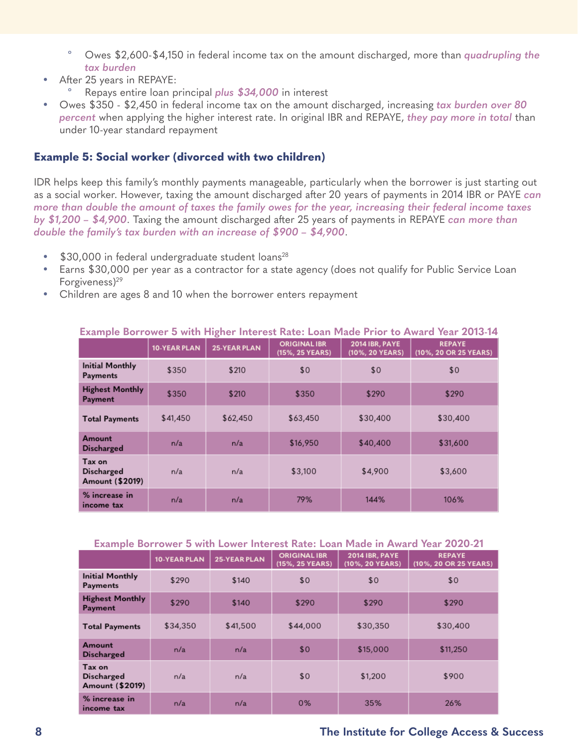- <span id="page-7-0"></span>Owes \$2,600-\$4,150 in federal income tax on the amount discharged, more than *quadrupling the tax burden*
- After 25 years in REPAYE:
	- º Repays entire loan principal *plus \$34,000* in interest
- Owes \$350 \$2,450 in federal income tax on the amount discharged, increasing *tax burden over 80 percent* when applying the higher interest rate. In original IBR and REPAYE, *they pay more in total* than under 10-year standard repayment

## **Example 5: Social worker (divorced with two children)**

IDR helps keep this family's monthly payments manageable, particularly when the borrower is just starting out as a social worker. However, taxing the amount discharged after 20 years of payments in 2014 IBR or PAYE *can more than double the amount of taxes the family owes for the year, increasing their federal income taxes by \$1,200 – \$4,900*. Taxing the amount discharged after 25 years of payments in REPAYE *can more than double the family's tax burden with an increase of \$900 – \$4,900*.

- \$30,000 in federal undergraduate student loans<sup>28</sup>
- Earns \$30,000 per year as a contractor for a state agency (does not qualify for Public Service Loan Forgiveness) $29$
- Children are ages 8 and 10 when the borrower enters repayment

| <b>LAGILING DUITUWEL O WILLI HIZIIEL HILELESL NALE. LUAH MAUE LITUL LU AWALU TEAL ZUTU-T-</b> |              |                     |                                        |                                          |                                        |  |  |
|-----------------------------------------------------------------------------------------------|--------------|---------------------|----------------------------------------|------------------------------------------|----------------------------------------|--|--|
|                                                                                               | 10-YEAR PLAN | <b>25-YEAR PLAN</b> | <b>ORIGINAL IBR</b><br>(15%, 25 YEARS) | <b>2014 IBR, PAYE</b><br>(10%, 20 YEARS) | <b>REPAYE</b><br>(10%, 20 OR 25 YEARS) |  |  |
| <b>Initial Monthly</b><br><b>Payments</b>                                                     | \$350        | \$210               | \$0                                    | \$0                                      | \$0                                    |  |  |
| <b>Highest Monthly</b><br>Payment                                                             | \$350        | \$210               | \$350                                  | \$290                                    | \$290                                  |  |  |
| <b>Total Payments</b>                                                                         | \$41,450     | \$62,450            | \$63,450                               | \$30,400                                 | \$30,400                               |  |  |
| Amount<br><b>Discharged</b>                                                                   | n/a          | n/a                 | \$16,950                               | \$40,400                                 | \$31,600                               |  |  |
| Tax on<br><b>Discharged</b><br>Amount (\$2019)                                                | n/a          | n/a                 | \$3,100                                | \$4,900                                  | \$3,600                                |  |  |
| % increase in<br>income tax                                                                   | n/a          | n/a                 | 79%                                    | 144%                                     | 106%                                   |  |  |

### **Example Borrower 5 with Higher Interest Rate: Loan Made Prior to Award Year 2013-14**

#### **Example Borrower 5 with Lower Interest Rate: Loan Made in Award Year 2020-21**

|                                                | <b>10-YEAR PLAN</b> | <b>25-YEAR PLAN</b> | <b>ORIGINAL IBR</b><br>(15%, 25 YEARS) | <b>2014 IBR, PAYE</b><br>(10%, 20 YEARS) | <b>REPAYE</b><br>(10%, 20 OR 25 YEARS) |
|------------------------------------------------|---------------------|---------------------|----------------------------------------|------------------------------------------|----------------------------------------|
| <b>Initial Monthly</b><br><b>Payments</b>      | \$290               | \$140               | \$0                                    | \$0                                      | \$0                                    |
| <b>Highest Monthly</b><br><b>Payment</b>       | \$290               | \$140               | \$290                                  | \$290                                    | \$290                                  |
| <b>Total Payments</b>                          | \$34,350            | \$41,500            | \$44,000                               | \$30,350                                 | \$30,400                               |
| Amount<br><b>Discharged</b>                    | n/a                 | n/a                 | \$0                                    | \$15,000                                 | \$11,250                               |
| Tax on<br><b>Discharged</b><br>Amount (\$2019) | n/a                 | n/a                 | \$0                                    | \$1,200                                  | \$900                                  |
| % increase in<br>income tax                    | n/a                 | n/a                 | 0%                                     | 35%                                      | 26%                                    |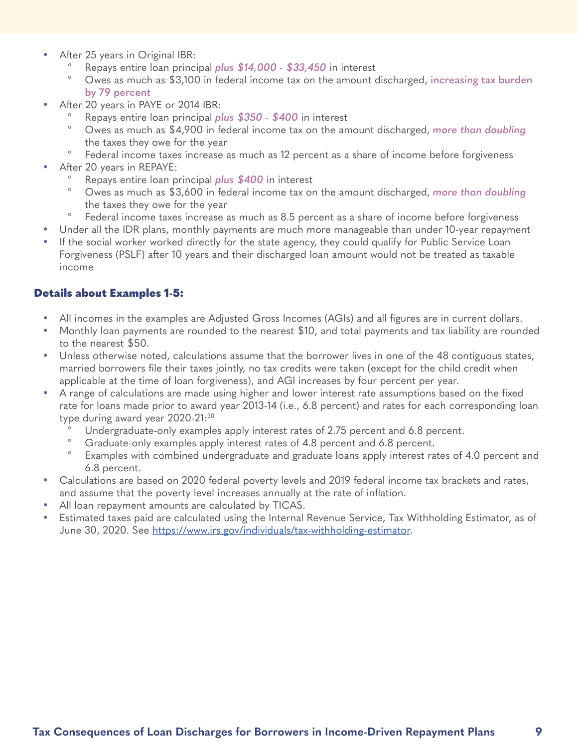- <span id="page-8-0"></span>After 25 years in Original IBR:
	- º Repays entire loan principal *plus \$14,000 \$33,450* in interest
	- º Owes as much as \$3,100 in federal income tax on the amount discharged, **increasing tax burden by 79 percent**
- After 20 years in PAYE or 2014 IBR:
	- º Repays entire loan principal *plus \$350 \$400* in interest
	- º Owes as much as \$4,900 in federal income tax on the amount discharged, *more than doubling*  the taxes they owe for the year
	- Federal income taxes increase as much as 12 percent as a share of income before forgiveness
- After 20 years in REPAYE:
	- º Repays entire loan principal *plus \$400* in interest
	- º Owes as much as \$3,600 in federal income tax on the amount discharged, *more than doubling*  the taxes they owe for the year
	- Federal income taxes increase as much as 8.5 percent as a share of income before forgiveness
- Under all the IDR plans, monthly payments are much more manageable than under 10-year repayment
- If the social worker worked directly for the state agency, they could qualify for Public Service Loan Forgiveness (PSLF) after 10 years and their discharged loan amount would not be treated as taxable income

## Details about Examples 1-5:

- All incomes in the examples are Adjusted Gross Incomes (AGIs) and all figures are in current dollars.
- Monthly loan payments are rounded to the nearest \$10, and total payments and tax liability are rounded to the nearest \$50.
- Unless otherwise noted, calculations assume that the borrower lives in one of the 48 contiguous states, married borrowers file their taxes jointly, no tax credits were taken (except for the child credit when applicable at the time of loan forgiveness), and AGI increases by four percent per year.
- A range of calculations are made using higher and lower interest rate assumptions based on the fixed rate for loans made prior to award year 2013-14 (i.e., 6.8 percent) and rates for each corresponding loan type during award year  $2020-21$ :<sup>30</sup>
	- Undergraduate-only examples apply interest rates of 2.75 percent and 6.8 percent.
	- Graduate-only examples apply interest rates of 4.8 percent and 6.8 percent.
	- Examples with combined undergraduate and graduate loans apply interest rates of 4.0 percent and 6.8 percent.
- Calculations are based on 2020 federal poverty levels and 2019 federal income tax brackets and rates, and assume that the poverty level increases annually at the rate of inflation.
- All loan repayment amounts are calculated by TICAS.
- Estimated taxes paid are calculated using the Internal Revenue Service, Tax Withholding Estimator, as of June 30, 2020. See <https://www.irs.gov/individuals/tax-withholding-estimator>.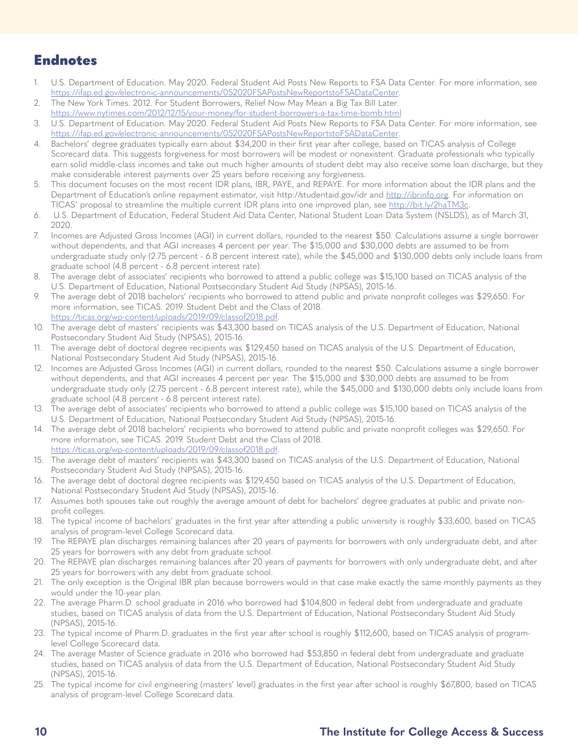# Endnotes

- 1. U.S. Department of Education. May 2020. Federal Student Aid Posts New Reports to FSA Data Center. For more information, see <https://ifap.ed.gov/electronic-announcements/052020FSAPostsNewReportstoFSADataCenter>.
- 2. The New York Times. 2012. For Student Borrowers, Relief Now May Mean a Big Tax Bill Later. <https://www.nytimes.com/2012/12/15/your-money/for-student-borrowers-a-tax-time-bomb.html>
- 3. U.S. Department of Education. May 2020. Federal Student Aid Posts New Reports to FSA Data Center. For more information, see <https://ifap.ed.gov/electronic-announcements/052020FSAPostsNewReportstoFSADataCenter>.
- 4. Bachelors' degree graduates typically earn about \$34,200 in their first year after college, based on TICAS analysis of College Scorecard data. This suggests forgiveness for most borrowers will be modest or nonexistent. Graduate professionals who typically earn solid middle-class incomes and take out much higher amounts of student debt may also receive some loan discharge, but they make considerable interest payments over 25 years before receiving any forgiveness.
- 5. This document focuses on the most recent IDR plans, IBR, PAYE, and REPAYE. For more information about the IDR plans and the Department of Education's online repayment estimator, visit http://studentaid.gov/idr and [http://ibrinfo.org.](http://ibrinfo.org) For information on TICAS' proposal to streamline the multiple current IDR plans into one improved plan, see [http://bit.ly/2haTM3c.](http://bit.ly/2haTM3c)
- 6. U.S. Department of Education, Federal Student Aid Data Center, National Student Loan Data System (NSLDS), as of March 31, 2020.
- 7. Incomes are Adjusted Gross Incomes (AGI) in current dollars, rounded to the nearest \$50. Calculations assume a single borrower without dependents, and that AGI increases 4 percent per year. The \$15,000 and \$30,000 debts are assumed to be from undergraduate study only (2.75 percent - 6.8 percent interest rate), while the \$45,000 and \$130,000 debts only include loans from graduate school (4.8 percent - 6.8 percent interest rate).
- 8. The average debt of associates' recipients who borrowed to attend a public college was \$15,100 based on TICAS analysis of the U.S. Department of Education, National Postsecondary Student Aid Study (NPSAS), 2015-16.
- 9. The average debt of 2018 bachelors' recipients who borrowed to attend public and private nonprofit colleges was \$29,650. For more information, see TICAS. 2019. Student Debt and the Class of 2018. [https://ticas.org/wp-content/uploads/2019/09/classof2018.pdf.](https://ticas.org/wp-content/uploads/2019/09/classof2018.pdf)
- 10. The average debt of masters' recipients was \$43,300 based on TICAS analysis of the U.S. Department of Education, National Postsecondary Student Aid Study (NPSAS), 2015-16.
- 11. The average debt of doctoral degree recipients was \$129,450 based on TICAS analysis of the U.S. Department of Education, National Postsecondary Student Aid Study (NPSAS), 2015-16.
- 12. Incomes are Adjusted Gross Incomes (AGI) in current dollars, rounded to the nearest \$50. Calculations assume a single borrower without dependents, and that AGI increases 4 percent per year. The \$15,000 and \$30,000 debts are assumed to be from undergraduate study only (2.75 percent - 6.8 percent interest rate), while the \$45,000 and \$130,000 debts only include loans from graduate school (4.8 percent - 6.8 percent interest rate).
- 13. The average debt of associates' recipients who borrowed to attend a public college was \$15,100 based on TICAS analysis of the U.S. Department of Education, National Postsecondary Student Aid Study (NPSAS), 2015-16.
- 14. The average debt of 2018 bachelors' recipients who borrowed to attend public and private nonprofit colleges was \$29,650. For more information, see TICAS. 2019. Student Debt and the Class of 2018. [https://ticas.org/wp-content/uploads/2019/09/classof2018.pdf.](https://ticas.org/wp-content/uploads/2019/09/classof2018.pdf)
- 15. The average debt of masters' recipients was \$43,300 based on TICAS analysis of the U.S. Department of Education, National Postsecondary Student Aid Study (NPSAS), 2015-16.
- 16. The average debt of doctoral degree recipients was \$129,450 based on TICAS analysis of the U.S. Department of Education, National Postsecondary Student Aid Study (NPSAS), 2015-16.
- 17. Assumes both spouses take out roughly the average amount of debt for bachelors' degree graduates at public and private nonprofit colleges.
- 18. The typical income of bachelors' graduates in the first year after attending a public university is roughly \$33,600, based on TICAS analysis of program-level College Scorecard data.
- 19. The REPAYE plan discharges remaining balances after 20 years of payments for borrowers with only undergraduate debt, and after 25 years for borrowers with any debt from graduate school.
- 20. The REPAYE plan discharges remaining balances after 20 years of payments for borrowers with only undergraduate debt, and after 25 years for borrowers with any debt from graduate school.
- 21. The only exception is the Original IBR plan because borrowers would in that case make exactly the same monthly payments as they would under the 10-year plan.
- 22. The average Pharm.D. school graduate in 2016 who borrowed had \$104,800 in federal debt from undergraduate and graduate studies, based on TICAS analysis of data from the U.S. Department of Education, National Postsecondary Student Aid Study (NPSAS), 2015-16.
- 23. The typical income of Pharm.D. graduates in the first year after school is roughly \$112,600, based on TICAS analysis of programlevel College Scorecard data.
- 24. The average Master of Science graduate in 2016 who borrowed had \$53,850 in federal debt from undergraduate and graduate studies, based on TICAS analysis of data from the U.S. Department of Education, National Postsecondary Student Aid Study (NPSAS), 2015-16.
- 25. The typical income for civil engineering (masters' level) graduates in the first year after school is roughly \$67,800, based on TICAS analysis of program-level College Scorecard data.